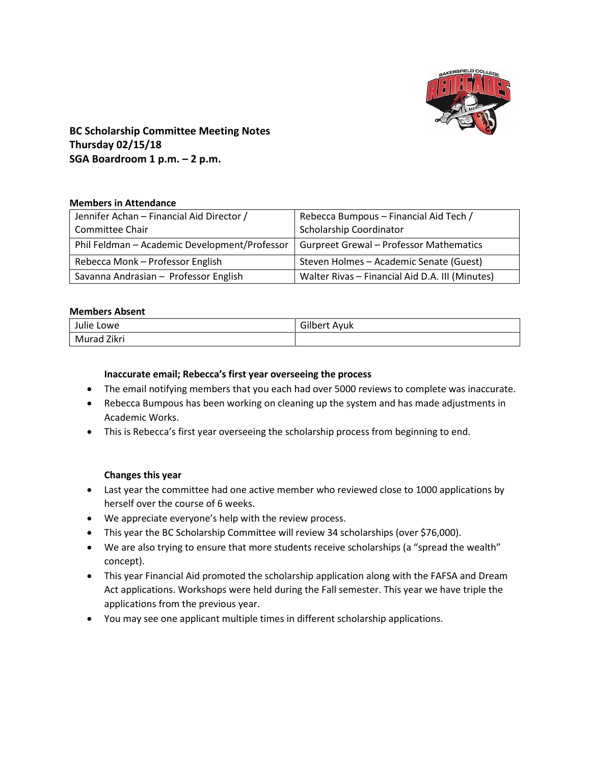

## **BC Scholarship Committee Meeting Notes Thursday 02/15/18 SGA Boardroom 1 p.m. – 2 p.m.**

### **Members in Attendance**

| Jennifer Achan - Financial Aid Director /     | Rebecca Bumpous - Financial Aid Tech /          |
|-----------------------------------------------|-------------------------------------------------|
| <b>Committee Chair</b>                        | Scholarship Coordinator                         |
| Phil Feldman - Academic Development/Professor | <b>Gurpreet Grewal - Professor Mathematics</b>  |
| Rebecca Monk - Professor English              | Steven Holmes - Academic Senate (Guest)         |
| Savanna Andrasian - Professor English         | Walter Rivas - Financial Aid D.A. III (Minutes) |

### **Members Absent**

| Julie Lowe     | Gilbert<br>Ayuk |
|----------------|-----------------|
| Zikri<br>Murad |                 |

### **Inaccurate email; Rebecca's first year overseeing the process**

- The email notifying members that you each had over 5000 reviews to complete was inaccurate.
- Rebecca Bumpous has been working on cleaning up the system and has made adjustments in Academic Works.
- This is Rebecca's first year overseeing the scholarship process from beginning to end.

### **Changes this year**

- Last year the committee had one active member who reviewed close to 1000 applications by herself over the course of 6 weeks.
- We appreciate everyone's help with the review process.
- This year the BC Scholarship Committee will review 34 scholarships (over \$76,000).
- We are also trying to ensure that more students receive scholarships (a "spread the wealth" concept).
- This year Financial Aid promoted the scholarship application along with the FAFSA and Dream Act applications. Workshops were held during the Fall semester. This year we have triple the applications from the previous year.
- You may see one applicant multiple times in different scholarship applications.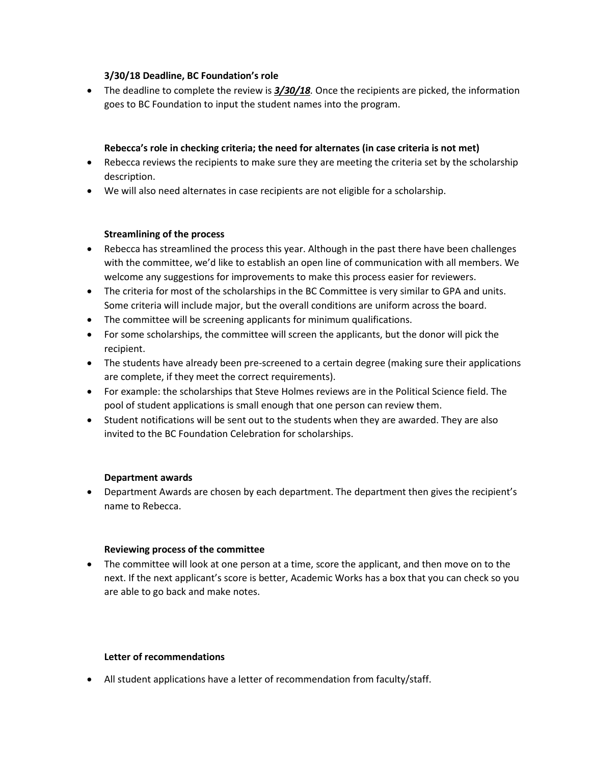## **3/30/18 Deadline, BC Foundation's role**

 The deadline to complete the review is *3/30/18.* Once the recipients are picked, the information goes to BC Foundation to input the student names into the program.

## **Rebecca's role in checking criteria; the need for alternates (in case criteria is not met)**

- Rebecca reviews the recipients to make sure they are meeting the criteria set by the scholarship description.
- We will also need alternates in case recipients are not eligible for a scholarship.

## **Streamlining of the process**

- Rebecca has streamlined the process this year. Although in the past there have been challenges with the committee, we'd like to establish an open line of communication with all members. We welcome any suggestions for improvements to make this process easier for reviewers.
- The criteria for most of the scholarships in the BC Committee is very similar to GPA and units. Some criteria will include major, but the overall conditions are uniform across the board.
- The committee will be screening applicants for minimum qualifications.
- For some scholarships, the committee will screen the applicants, but the donor will pick the recipient.
- The students have already been pre-screened to a certain degree (making sure their applications are complete, if they meet the correct requirements).
- For example: the scholarships that Steve Holmes reviews are in the Political Science field. The pool of student applications is small enough that one person can review them.
- Student notifications will be sent out to the students when they are awarded. They are also invited to the BC Foundation Celebration for scholarships.

## **Department awards**

 Department Awards are chosen by each department. The department then gives the recipient's name to Rebecca.

### **Reviewing process of the committee**

• The committee will look at one person at a time, score the applicant, and then move on to the next. If the next applicant's score is better, Academic Works has a box that you can check so you are able to go back and make notes.

### **Letter of recommendations**

All student applications have a letter of recommendation from faculty/staff.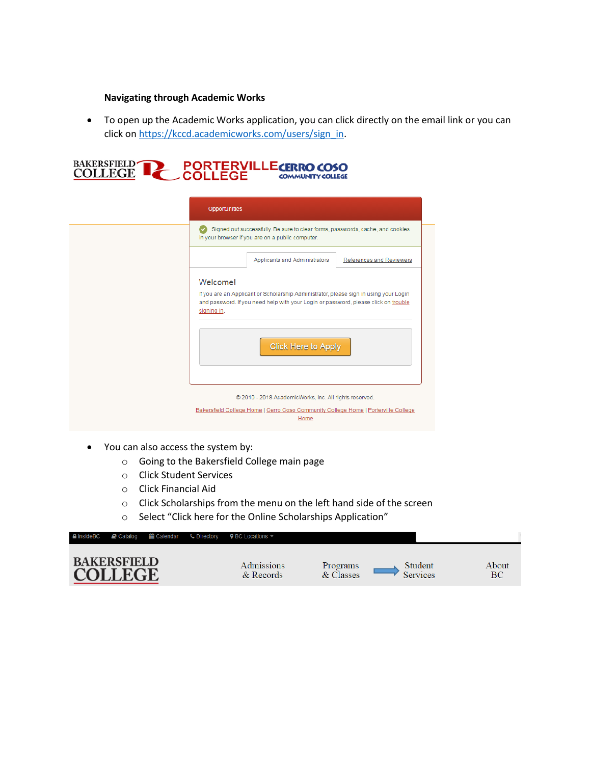### **Navigating through Academic Works**

 To open up the Academic Works application, you can click directly on the email link or you can click on [https://kccd.academicworks.com/users/sign\\_in.](https://kccd.academicworks.com/users/sign_in)



| <b>Opportunities</b>                                                                                                                                                                                                           |
|--------------------------------------------------------------------------------------------------------------------------------------------------------------------------------------------------------------------------------|
| Signed out successfully. Be sure to clear forms, passwords, cache, and cookies<br>in your browser if you are on a public computer.                                                                                             |
| Applicants and Administrators<br>References and Reviewers                                                                                                                                                                      |
| Welcome!<br>If you are an Applicant or Scholarship Administrator, please sign in using your Login<br>and password. If you need help with your Login or password, please click on trouble<br>signing in.<br>Click Here to Apply |
| @ 2010 - 2018 AcademicWorks, Inc. All rights reserved.<br>Bakersfield College Home   Cerro Coso Community College Home   Porterville College<br>Home                                                                           |

- You can also access the system by:
	- o Going to the Bakersfield College main page
	- o Click Student Services
	- o Click Financial Aid
	- o Click Scholarships from the menu on the left hand side of the screen
	- o Select "Click here for the Online Scholarships Application"

|                                      | <b>△insideBC</b> <i>■</i> Catalog <b>@</b> Calendar ↓ Directory | <b>♀</b> BC Locations ▼     |                       |                     |             |
|--------------------------------------|-----------------------------------------------------------------|-----------------------------|-----------------------|---------------------|-------------|
| <b>BAKERSFIELD</b><br><b>COLLEGE</b> |                                                                 | Admissions<br>$&\&$ Records | Programs<br>& Classes | Student<br>Services | About<br>BС |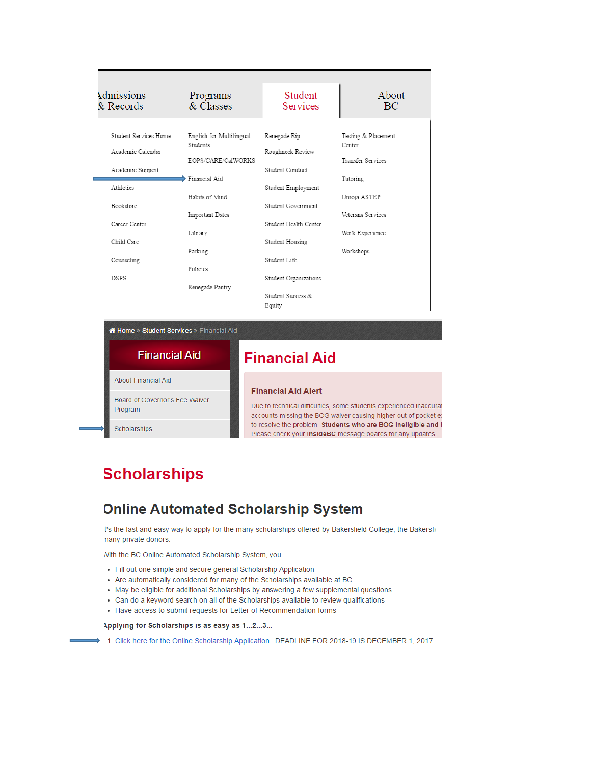| Admissions<br>& Records                                        | Programs<br>& Classes                                                              | <b>Student</b><br>Services                          | About<br><b>BC</b>                                        |
|----------------------------------------------------------------|------------------------------------------------------------------------------------|-----------------------------------------------------|-----------------------------------------------------------|
| Student Services Home<br>Academic Calendar<br>Academic Support | English for Multilingual<br><b>Students</b><br>EOPS/CARE/CalWORKS<br>Financial Aid | Renegade Rip<br>Roughneck Review<br>Student Conduct | Testing & Placement<br>Center<br><b>Transfer Services</b> |
| Athletics                                                      | Habits of Mind                                                                     | Student Employment                                  | Tutoring<br>Umoja ASTEP                                   |
| Bookstore                                                      | Important Dates                                                                    | Student Government                                  | Veterans Services                                         |
| Career Center                                                  | Library                                                                            | Student Health Center                               | Work Experience                                           |
| Child Care<br>Counseling                                       | Parking                                                                            | Student Housing<br>Student Life                     | Workshops                                                 |
| <b>DSPS</b>                                                    | Policies                                                                           | Student Organizations                               |                                                           |
|                                                                | Renegade Pantry                                                                    | Student Success &<br>Equity                         |                                                           |

Home » Student Services » Financial Aid

| <b>Financial Aid</b>                      | <b>Financial Aid</b>                                                                                                                                                |
|-------------------------------------------|---------------------------------------------------------------------------------------------------------------------------------------------------------------------|
| About Financial Aid                       |                                                                                                                                                                     |
| Board of Governor's Fee Waiver<br>Program | <b>Financial Aid Alert</b><br>Due to technical difficulties, some students experienced inaccural<br>accounts missing the BOG waiver causing higher out of pocket e: |
| <b>Scholarships</b>                       | to resolve the problem. Students who are BOG ineligible and I<br>Please check your InsideBC message boards for any updates.                                         |

# **Scholarships**

## **Online Automated Scholarship System**

t's the fast and easy way to apply for the many scholarships offered by Bakersfield College, the Bakersfi nany private donors.

Nith the BC Online Automated Scholarship System, you

- Fill out one simple and secure general Scholarship Application
- Are automatically considered for many of the Scholarships available at BC
- May be eligible for additional Scholarships by answering a few supplemental questions
- Can do a keyword search on all of the Scholarships available to review qualifications
- Have access to submit requests for Letter of Recommendation forms

#### Applying for Scholarships is as easy as 1...2...3...

→ 1. Click here for the Online Scholarship Application. DEADLINE FOR 2018-19 IS DECEMBER 1, 2017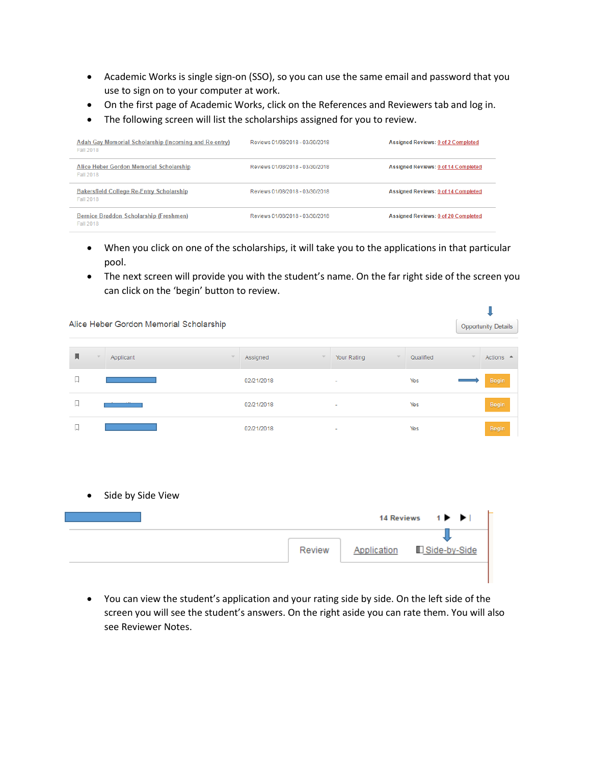- Academic Works is single sign-on (SSO), so you can use the same email and password that you use to sign on to your computer at work.
- On the first page of Academic Works, click on the References and Reviewers tab and log in.
- The following screen will list the scholarships assigned for you to review.

| Adah Gay Memorial Scholarship (Incoming and Re-entry)<br>Fall 2018 | Reviews 01/08/2018 - 03/30/2018 | Assigned Reviews: 0 of 2 Completed  |
|--------------------------------------------------------------------|---------------------------------|-------------------------------------|
| Alice Heber Gordon Memorial Scholarship<br>Fall 2018               | Reviews 01/08/2018 - 03/30/2018 | Assigned Reviews: 0 of 14 Completed |
| <b>Bakersfield College Re-Entry Scholarship</b><br>Fall 2018       | Reviews 01/08/2018 - 03/30/2018 | Assigned Reviews: 0 of 14 Completed |
| Bernice Braddon Scholarship (Freshmen)<br><b>Fall 2018</b>         | Reviews 01/08/2018 - 03/30/2018 | Assigned Reviews: 0 of 20 Completed |

- When you click on one of the scholarships, it will take you to the applications in that particular pool.
- The next screen will provide you with the student's name. On the far right side of the screen you can click on the 'begin' button to review.

|           | Alice Heber Gordon Memorial Scholarship |                                 |                     |                          |                   |              |                                                      | <b>Opportunity Details</b> |
|-----------|-----------------------------------------|---------------------------------|---------------------|--------------------------|-------------------|--------------|------------------------------------------------------|----------------------------|
| Д         | Applicant                               | Assigned<br>$\overline{\nabla}$ | $\overline{\nabla}$ | Your Rating              | $\nabla$          | Qualified    | $\overline{\mathcal{N}}$                             | Actions <sup>A</sup>       |
| 口         |                                         | 02/21/2018                      |                     | ٠                        |                   | Yes          |                                                      | Begin                      |
| 口         |                                         | 02/21/2018                      |                     | $\overline{\phantom{a}}$ |                   | Yes          |                                                      | Begin                      |
| 口         |                                         | 02/21/2018                      |                     |                          |                   | Yes          |                                                      | Begin                      |
|           |                                         |                                 |                     |                          |                   |              |                                                      |                            |
|           |                                         |                                 |                     |                          |                   |              |                                                      |                            |
| $\bullet$ | Side by Side View                       |                                 |                     |                          |                   |              |                                                      |                            |
|           |                                         |                                 |                     |                          | <b>14 Reviews</b> |              | $1 \triangleright$ $\triangleright$ $\triangleright$ |                            |
|           |                                         |                                 | Review              |                          | Application       | Side-by-Side |                                                      |                            |

 You can view the student's application and your rating side by side. On the left side of the screen you will see the student's answers. On the right aside you can rate them. You will also see Reviewer Notes.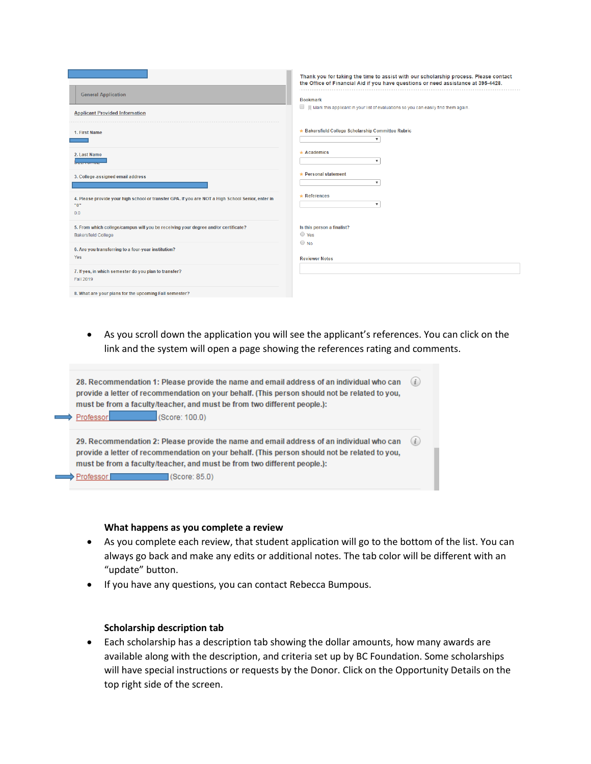| <b>General Application</b><br><b>Applicant Provided Information</b>                                              | Thank you for taking the time to assist with our scholarship process. Please contact<br>the Office of Financial Aid if you have questions or need assistance at 395-4428.<br><b>Bookmark</b><br>$\Box$ Mark this applicant in your list of evaluations so you can easily find them again. |
|------------------------------------------------------------------------------------------------------------------|-------------------------------------------------------------------------------------------------------------------------------------------------------------------------------------------------------------------------------------------------------------------------------------------|
| 1. First Name                                                                                                    | * Bakersfield College Scholarship Committee Rubric<br>$\boldsymbol{\mathrm{v}}$                                                                                                                                                                                                           |
| 2. Last Name                                                                                                     | $\star$ Academics<br>$\boldsymbol{\mathrm{v}}$                                                                                                                                                                                                                                            |
| 3. College-assigned email address                                                                                | $\star$ Personal statement<br>$\overline{\mathbf{v}}$                                                                                                                                                                                                                                     |
| 4. Please provide your high school or transfer GPA. If you are NOT a High School Senior, enter in<br>"0"<br>0.0  | $\star$ References<br>$\boldsymbol{\mathrm{v}}$                                                                                                                                                                                                                                           |
| 5. From which college/campus will you be receiving your degree and/or certificate?<br><b>Bakersfield College</b> | Is this person a finalist?<br>○ Yes                                                                                                                                                                                                                                                       |
| 6. Are you transferring to a four-year institution?<br>Yes                                                       | $\bigcirc$ No<br><b>Reviewer Notes</b>                                                                                                                                                                                                                                                    |
| 7. If yes, in which semester do you plan to transfer?<br>Fall 2019                                               |                                                                                                                                                                                                                                                                                           |
| 8. What are your plans for the upcoming Fall semester?                                                           |                                                                                                                                                                                                                                                                                           |

 As you scroll down the application you will see the applicant's references. You can click on the link and the system will open a page showing the references rating and comments.



### **What happens as you complete a review**

- As you complete each review, that student application will go to the bottom of the list. You can always go back and make any edits or additional notes. The tab color will be different with an "update" button.
- If you have any questions, you can contact Rebecca Bumpous.

### **Scholarship description tab**

 Each scholarship has a description tab showing the dollar amounts, how many awards are available along with the description, and criteria set up by BC Foundation. Some scholarships will have special instructions or requests by the Donor. Click on the Opportunity Details on the top right side of the screen.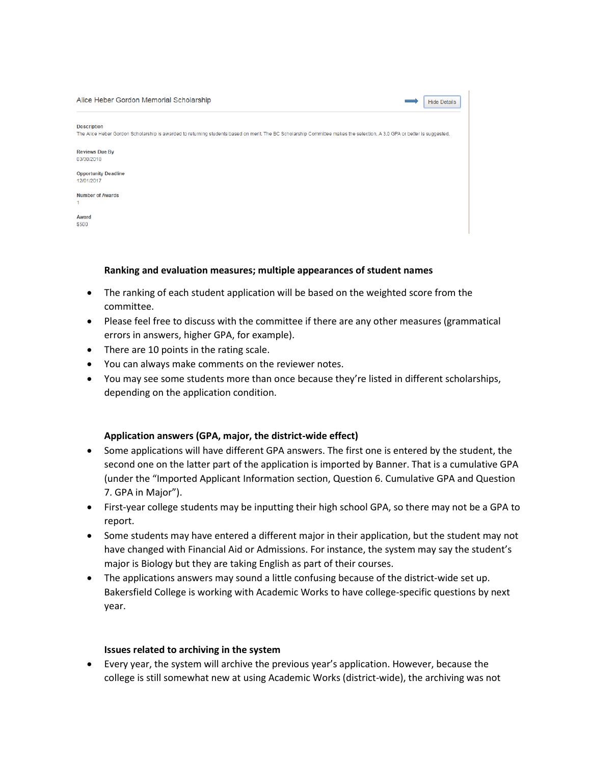| Alice Heber Gordon Memorial Scholarship<br><b>Hide Details</b>                                                                                                                                |
|-----------------------------------------------------------------------------------------------------------------------------------------------------------------------------------------------|
| <b>Description</b><br>The Alice Heber Gordon Scholarship is awarded to returning students based on merit. The BC Scholarship Committee makes the selection. A 3.0 GPA or better is suggested. |
| <b>Reviews Due By</b><br>03/30/2018                                                                                                                                                           |
| <b>Opportunity Deadline</b><br>12/01/2017                                                                                                                                                     |
| <b>Number of Awards</b>                                                                                                                                                                       |
| Award<br>\$500                                                                                                                                                                                |

### **Ranking and evaluation measures; multiple appearances of student names**

- The ranking of each student application will be based on the weighted score from the committee.
- Please feel free to discuss with the committee if there are any other measures (grammatical errors in answers, higher GPA, for example).
- There are 10 points in the rating scale.
- You can always make comments on the reviewer notes.
- You may see some students more than once because they're listed in different scholarships, depending on the application condition.

### **Application answers (GPA, major, the district-wide effect)**

- Some applications will have different GPA answers. The first one is entered by the student, the second one on the latter part of the application is imported by Banner. That is a cumulative GPA (under the "Imported Applicant Information section, Question 6. Cumulative GPA and Question 7. GPA in Major").
- First-year college students may be inputting their high school GPA, so there may not be a GPA to report.
- Some students may have entered a different major in their application, but the student may not have changed with Financial Aid or Admissions. For instance, the system may say the student's major is Biology but they are taking English as part of their courses.
- The applications answers may sound a little confusing because of the district-wide set up. Bakersfield College is working with Academic Works to have college-specific questions by next year.

### **Issues related to archiving in the system**

 Every year, the system will archive the previous year's application. However, because the college is still somewhat new at using Academic Works (district-wide), the archiving was not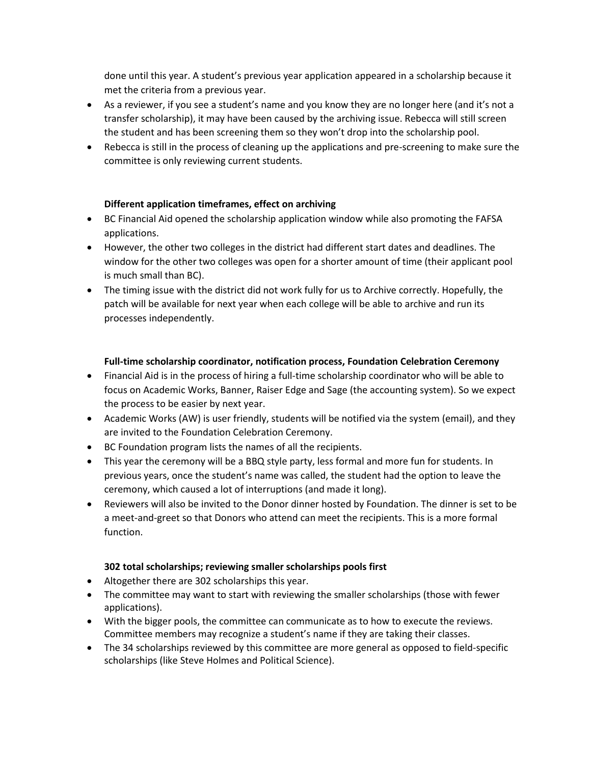done until this year. A student's previous year application appeared in a scholarship because it met the criteria from a previous year.

- As a reviewer, if you see a student's name and you know they are no longer here (and it's not a transfer scholarship), it may have been caused by the archiving issue. Rebecca will still screen the student and has been screening them so they won't drop into the scholarship pool.
- Rebecca is still in the process of cleaning up the applications and pre-screening to make sure the committee is only reviewing current students.

## **Different application timeframes, effect on archiving**

- BC Financial Aid opened the scholarship application window while also promoting the FAFSA applications.
- However, the other two colleges in the district had different start dates and deadlines. The window for the other two colleges was open for a shorter amount of time (their applicant pool is much small than BC).
- The timing issue with the district did not work fully for us to Archive correctly. Hopefully, the patch will be available for next year when each college will be able to archive and run its processes independently.

## **Full-time scholarship coordinator, notification process, Foundation Celebration Ceremony**

- Financial Aid is in the process of hiring a full-time scholarship coordinator who will be able to focus on Academic Works, Banner, Raiser Edge and Sage (the accounting system). So we expect the process to be easier by next year.
- Academic Works (AW) is user friendly, students will be notified via the system (email), and they are invited to the Foundation Celebration Ceremony.
- BC Foundation program lists the names of all the recipients.
- This year the ceremony will be a BBQ style party, less formal and more fun for students. In previous years, once the student's name was called, the student had the option to leave the ceremony, which caused a lot of interruptions (and made it long).
- Reviewers will also be invited to the Donor dinner hosted by Foundation. The dinner is set to be a meet-and-greet so that Donors who attend can meet the recipients. This is a more formal function.

### **302 total scholarships; reviewing smaller scholarships pools first**

- Altogether there are 302 scholarships this year.
- The committee may want to start with reviewing the smaller scholarships (those with fewer applications).
- With the bigger pools, the committee can communicate as to how to execute the reviews. Committee members may recognize a student's name if they are taking their classes.
- The 34 scholarships reviewed by this committee are more general as opposed to field-specific scholarships (like Steve Holmes and Political Science).